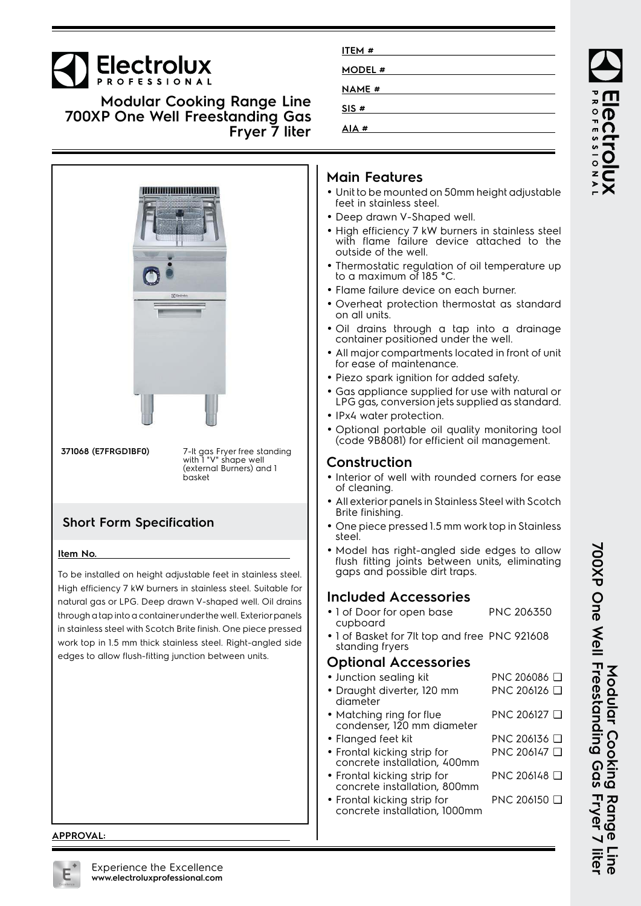# **Electrolux**

**Modular Cooking Range Line 700XP One Well Freestanding Gas Fryer 7 liter**



**APPROVAL:**

| ITEM#   |  |
|---------|--|
| MODEL # |  |
| NAME #  |  |
| SIS#    |  |
| AIA#    |  |

#### **Main Features**

- Unit to be mounted on 50mm height adjustable feet in stainless steel.
- Deep drawn V-Shaped well.
- High efficiency 7 kW burners in stainless steel with flame failure device attached to the outside of the well.
- • Thermostatic regulation of oil temperature up to a maximum of 185 °C.
- Flame failure device on each burner.
- Overheat protection thermostat as standard on all units.
- Oil drains through a tap into a drainage container positioned under the well.
- • All major compartments located in front of unit for ease of maintenance.
- Piezo spark ignition for added safety.
- • Gas appliance supplied for use with natural or LPG gas, conversion jets supplied as standard.
- IPx4 water protection.
- Optional portable oil quality monitoring tool (code 9B8081) for efficient oil management.

### **Construction**

- Interior of well with rounded corners for ease of cleaning.
- • All exterior panels in Stainless Steel with Scotch Brite finishing.
- One piece pressed 1.5 mm work top in Stainless steel.
- Model has right-angled side edges to allow flush fitting joints between units, eliminating aaps and possible dirt traps.

### **Included Accessories**

- 1 of Door for open base cupboard PNC 206350
- 1 of Basket for 7lt top and free PNC 921608 standing fryers

#### **Optional Accessories**

• Junction sealing kit PNC 206086 ❑ • Draught diverter, 120 mm diameter PNC 206126 ❑ • Matching ring for flue condenser, 120 mm diameter PNC 206127 ❑ • Flanged feet kit PNC 206136 ❑ • Frontal kicking strip for concrete installation, 400mm PNC 206147 ❑ • Frontal kicking strip for concrete installation, 800mm PNC 206148 ❑ • Frontal kicking strip for concrete installation, 1000mm PNC 206150 ❑

**700XP One Well Freestanding Gas Fryer 7 liter** Modular Cooking Range Line<br>700XP One Well Freestanding Gas Fryer 7 liter Modular Cooking **Modular Cooking Range Line**

ROFESSIONA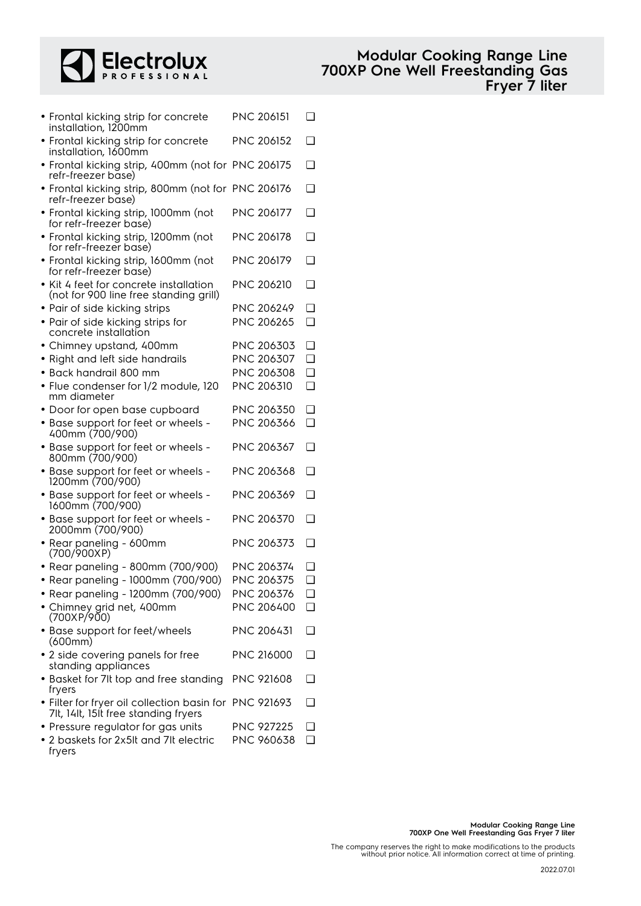

| • Frontal kicking strip for concrete<br>installation, 1200mm                                   | <b>PNC 206151</b> | □ |
|------------------------------------------------------------------------------------------------|-------------------|---|
| • Frontal kicking strip for concrete<br>installation, 1600mm                                   | <b>PNC 206152</b> | □ |
| • Frontal kicking strip, 400mm (not for PNC 206175<br>refr-freezer base)                       |                   | ◻ |
| • Frontal kicking strip, 800mm (not for PNC 206176<br>refr-freezer base)                       |                   | □ |
| · Frontal kicking strip, 1000mm (not<br>for refr-freezer base)                                 | <b>PNC 206177</b> | □ |
| · Frontal kicking strip, 1200mm (not<br>for refr-freezer base)                                 | PNC 206178        | □ |
| · Frontal kicking strip, 1600mm (not<br>for refr-freezer base)                                 | PNC 206179        | ❏ |
| • Kit 4 feet for concrete installation<br>(not for 900 line free standing grill)               | <b>PNC 206210</b> | ❏ |
| • Pair of side kicking strips                                                                  | PNC 206249        | ∩ |
|                                                                                                |                   |   |
| • Pair of side kicking strips for<br>concrete installation                                     | PNC 206265        | ❏ |
| • Chimney upstand, 400mm                                                                       | PNC 206303        | ❏ |
| · Right and left side handrails                                                                | PNC 206307        | □ |
| $\bullet$ Back handrail 800 mm                                                                 | PNC 206308        | □ |
| • Flue condenser for 1/2 module, 120<br>mm diameter                                            | PNC 206310        | □ |
| • Door for open base cupboard                                                                  | PNC 206350        | □ |
| • Base support for feet or wheels -                                                            | PNC 206366        | ❏ |
| 400mm (700/900)                                                                                |                   |   |
| • Base support for feet or wheels -<br>800mm (700/900)                                         | PNC 206367        | □ |
| • Base support for feet or wheels -<br>1200mm (700/900)                                        | <b>PNC 206368</b> | □ |
| • Base support for feet or wheels -<br>1600mm (700/900)                                        | PNC 206369        | □ |
| • Base support for feet or wheels -<br>2000mm (700/900)                                        | <b>PNC 206370</b> | □ |
| • Rear paneling - 600mm<br>(700/900XP)                                                         | PNC 206373        | □ |
| • Rear paneling - 800mm (700/900)                                                              | PNC 206374        | ப |
| • Rear paneling - 1000mm (700/900)                                                             | PNC 206375        | ❏ |
| • Rear paneling - 1200mm (700/900)                                                             | PNC 206376        | ❏ |
| • Chimney grid net, 400mm                                                                      | PNC 206400        | □ |
| (700XP/900)                                                                                    |                   |   |
| • Base support for feet/wheels<br>(600mm)                                                      | <b>PNC 206431</b> | ப |
| • 2 side covering panels for free<br>standing appliances                                       | <b>PNC 216000</b> | n |
| · Basket for 7It top and free standing<br>fryers                                               | PNC 921608        | □ |
| · Filter for fryer oil collection basin for PNC 921693<br>7lt, 14lt, 15lt free standing fryers |                   | ப |
| • Pressure regulator for gas units                                                             | <b>PNC 927225</b> | ⊓ |
| • 2 baskets for 2x5It and 7It electric                                                         | PNC 960638        | ❏ |

fryers